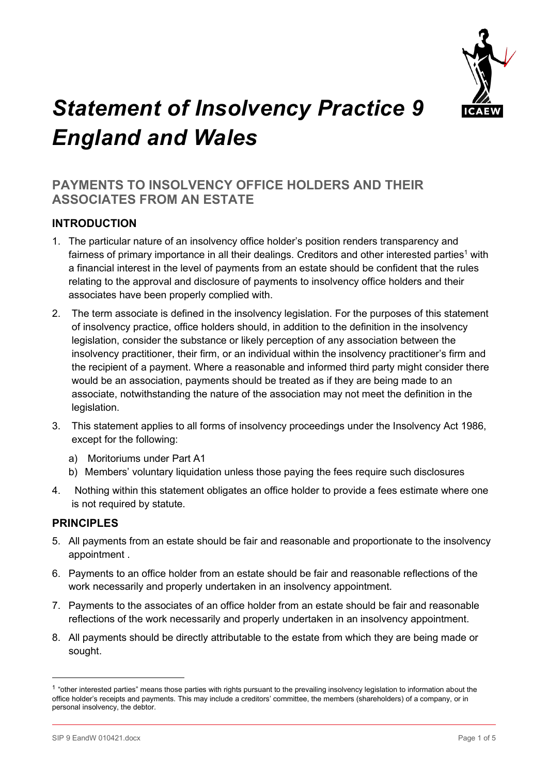

# *Statement of Insolvency Practice 9 England and Wales*

# **PAYMENTS TO INSOLVENCY OFFICE HOLDERS AND THEIR ASSOCIATES FROM AN ESTATE**

# **INTRODUCTION**

- 1. The particular nature of an insolvency office holder's position renders transparency and fairness of primary importance in all their dealings. Creditors and other interested parties<sup>1</sup> with a financial interest in the level of payments from an estate should be confident that the rules relating to the approval and disclosure of payments to insolvency office holders and their associates have been properly complied with.
- 2. The term associate is defined in the insolvency legislation. For the purposes of this statement of insolvency practice, office holders should, in addition to the definition in the insolvency legislation, consider the substance or likely perception of any association between the insolvency practitioner, their firm, or an individual within the insolvency practitioner's firm and the recipient of a payment. Where a reasonable and informed third party might consider there would be an association, payments should be treated as if they are being made to an associate, notwithstanding the nature of the association may not meet the definition in the legislation.
- 3. This statement applies to all forms of insolvency proceedings under the Insolvency Act 1986, except for the following:
	- a) Moritoriums under Part A1
	- b) Members' voluntary liquidation unless those paying the fees require such disclosures
- 4. Nothing within this statement obligates an office holder to provide a fees estimate where one is not required by statute.

## **PRINCIPLES**

- 5. All payments from an estate should be fair and reasonable and proportionate to the insolvency appointment .
- 6. Payments to an office holder from an estate should be fair and reasonable reflections of the work necessarily and properly undertaken in an insolvency appointment.
- 7. Payments to the associates of an office holder from an estate should be fair and reasonable reflections of the work necessarily and properly undertaken in an insolvency appointment.
- 8. All payments should be directly attributable to the estate from which they are being made or sought.

<sup>&</sup>lt;sup>1</sup> "other interested parties" means those parties with rights pursuant to the prevailing insolvency legislation to information about the office holder's receipts and payments. This may include a creditors' committee, the members (shareholders) of a company, or in personal insolvency, the debtor.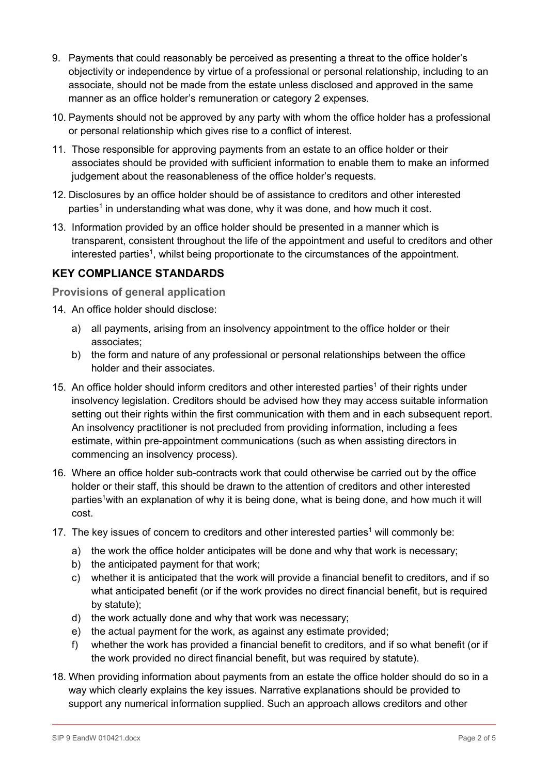- 9. Payments that could reasonably be perceived as presenting a threat to the office holder's objectivity or independence by virtue of a professional or personal relationship, including to an associate, should not be made from the estate unless disclosed and approved in the same manner as an office holder's remuneration or category 2 expenses.
- 10. Payments should not be approved by any party with whom the office holder has a professional or personal relationship which gives rise to a conflict of interest.
- 11. Those responsible for approving payments from an estate to an office holder or their associates should be provided with sufficient information to enable them to make an informed judgement about the reasonableness of the office holder's requests.
- 12. Disclosures by an office holder should be of assistance to creditors and other interested parties<sup>1</sup> in understanding what was done, why it was done, and how much it cost.
- 13. Information provided by an office holder should be presented in a manner which is transparent, consistent throughout the life of the appointment and useful to creditors and other interested parties<sup>1</sup>, whilst being proportionate to the circumstances of the appointment.

# **KEY COMPLIANCE STANDARDS**

**Provisions of general application**

- 14. An office holder should disclose:
	- a) all payments, arising from an insolvency appointment to the office holder or their associates;
	- b) the form and nature of any professional or personal relationships between the office holder and their associates.
- 15. An office holder should inform creditors and other interested parties<sup>1</sup> of their rights under insolvency legislation. Creditors should be advised how they may access suitable information setting out their rights within the first communication with them and in each subsequent report. An insolvency practitioner is not precluded from providing information, including a fees estimate, within pre-appointment communications (such as when assisting directors in commencing an insolvency process).
- 16. Where an office holder sub-contracts work that could otherwise be carried out by the office holder or their staff, this should be drawn to the attention of creditors and other interested parties<sup>1</sup> with an explanation of why it is being done, what is being done, and how much it will cost.
- 17. The key issues of concern to creditors and other interested parties<sup>1</sup> will commonly be:
	- a) the work the office holder anticipates will be done and why that work is necessary;
	- b) the anticipated payment for that work;
	- c) whether it is anticipated that the work will provide a financial benefit to creditors, and if so what anticipated benefit (or if the work provides no direct financial benefit, but is required by statute);
	- d) the work actually done and why that work was necessary;
	- e) the actual payment for the work, as against any estimate provided;
	- f) whether the work has provided a financial benefit to creditors, and if so what benefit (or if the work provided no direct financial benefit, but was required by statute).
- 18. When providing information about payments from an estate the office holder should do so in a way which clearly explains the key issues. Narrative explanations should be provided to support any numerical information supplied. Such an approach allows creditors and other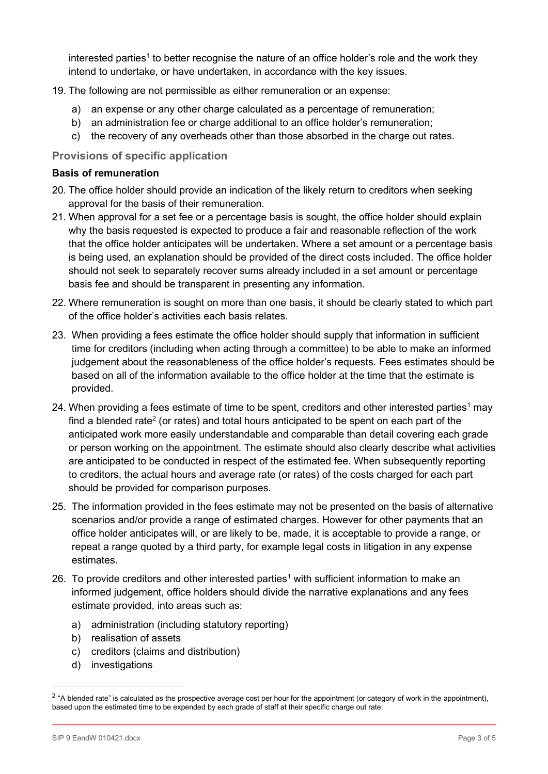interested parties<sup>1</sup> to better recognise the nature of an office holder's role and the work they intend to undertake, or have undertaken, in accordance with the key issues.

- 19. The following are not permissible as either remuneration or an expense:
	- a) an expense or any other charge calculated as a percentage of remuneration;
	- b) an administration fee or charge additional to an office holder's remuneration;
	- c) the recovery of any overheads other than those absorbed in the charge out rates.

### **Provisions of specific application**

#### **Basis of remuneration**

- 20. The office holder should provide an indication of the likely return to creditors when seeking approval for the basis of their remuneration.
- 21. When approval for a set fee or a percentage basis is sought, the office holder should explain why the basis requested is expected to produce a fair and reasonable reflection of the work that the office holder anticipates will be undertaken. Where a set amount or a percentage basis is being used, an explanation should be provided of the direct costs included. The office holder should not seek to separately recover sums already included in a set amount or percentage basis fee and should be transparent in presenting any information.
- 22. Where remuneration is sought on more than one basis, it should be clearly stated to which part of the office holder's activities each basis relates.
- 23. When providing a fees estimate the office holder should supply that information in sufficient time for creditors (including when acting through a committee) to be able to make an informed judgement about the reasonableness of the office holder's requests. Fees estimates should be based on all of the information available to the office holder at the time that the estimate is provided.
- 24. When providing a fees estimate of time to be spent, creditors and other interested parties<sup>1</sup> may find a blended rate<sup>2</sup> (or rates) and total hours anticipated to be spent on each part of the anticipated work more easily understandable and comparable than detail covering each grade or person working on the appointment. The estimate should also clearly describe what activities are anticipated to be conducted in respect of the estimated fee. When subsequently reporting to creditors, the actual hours and average rate (or rates) of the costs charged for each part should be provided for comparison purposes.
- 25. The information provided in the fees estimate may not be presented on the basis of alternative scenarios and/or provide a range of estimated charges. However for other payments that an office holder anticipates will, or are likely to be, made, it is acceptable to provide a range, or repeat a range quoted by a third party, for example legal costs in litigation in any expense estimates.
- 26. To provide creditors and other interested parties<sup>1</sup> with sufficient information to make an informed judgement, office holders should divide the narrative explanations and any fees estimate provided, into areas such as:
	- a) administration (including statutory reporting)
	- b) realisation of assets
	- c) creditors (claims and distribution)
	- d) investigations

<sup>&</sup>lt;sup>2</sup> "A blended rate" is calculated as the prospective average cost per hour for the appointment (or category of work in the appointment), based upon the estimated time to be expended by each grade of staff at their specific charge out rate.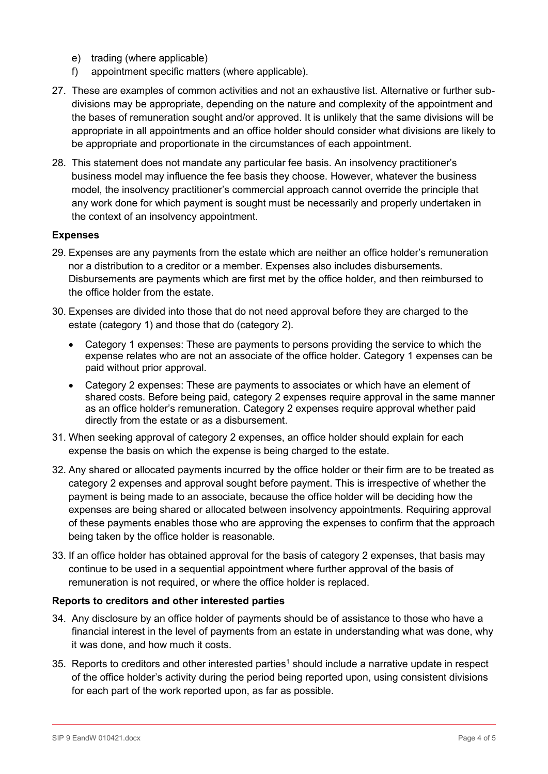- e) trading (where applicable)
- f) appointment specific matters (where applicable).
- 27. These are examples of common activities and not an exhaustive list. Alternative or further subdivisions may be appropriate, depending on the nature and complexity of the appointment and the bases of remuneration sought and/or approved. It is unlikely that the same divisions will be appropriate in all appointments and an office holder should consider what divisions are likely to be appropriate and proportionate in the circumstances of each appointment.
- 28. This statement does not mandate any particular fee basis. An insolvency practitioner's business model may influence the fee basis they choose. However, whatever the business model, the insolvency practitioner's commercial approach cannot override the principle that any work done for which payment is sought must be necessarily and properly undertaken in the context of an insolvency appointment.

#### **Expenses**

- 29. Expenses are any payments from the estate which are neither an office holder's remuneration nor a distribution to a creditor or a member. Expenses also includes disbursements. Disbursements are payments which are first met by the office holder, and then reimbursed to the office holder from the estate.
- 30. Expenses are divided into those that do not need approval before they are charged to the estate (category 1) and those that do (category 2).
	- Category 1 expenses: These are payments to persons providing the service to which the expense relates who are not an associate of the office holder. Category 1 expenses can be paid without prior approval.
	- Category 2 expenses: These are payments to associates or which have an element of shared costs. Before being paid, category 2 expenses require approval in the same manner as an office holder's remuneration. Category 2 expenses require approval whether paid directly from the estate or as a disbursement.
- 31. When seeking approval of category 2 expenses, an office holder should explain for each expense the basis on which the expense is being charged to the estate.
- 32. Any shared or allocated payments incurred by the office holder or their firm are to be treated as category 2 expenses and approval sought before payment. This is irrespective of whether the payment is being made to an associate, because the office holder will be deciding how the expenses are being shared or allocated between insolvency appointments. Requiring approval of these payments enables those who are approving the expenses to confirm that the approach being taken by the office holder is reasonable.
- 33. If an office holder has obtained approval for the basis of category 2 expenses, that basis may continue to be used in a sequential appointment where further approval of the basis of remuneration is not required, or where the office holder is replaced.

#### **Reports to creditors and other interested parties**

- 34. Any disclosure by an office holder of payments should be of assistance to those who have a financial interest in the level of payments from an estate in understanding what was done, why it was done, and how much it costs.
- 35. Reports to creditors and other interested parties<sup>1</sup> should include a narrative update in respect of the office holder's activity during the period being reported upon, using consistent divisions for each part of the work reported upon, as far as possible.